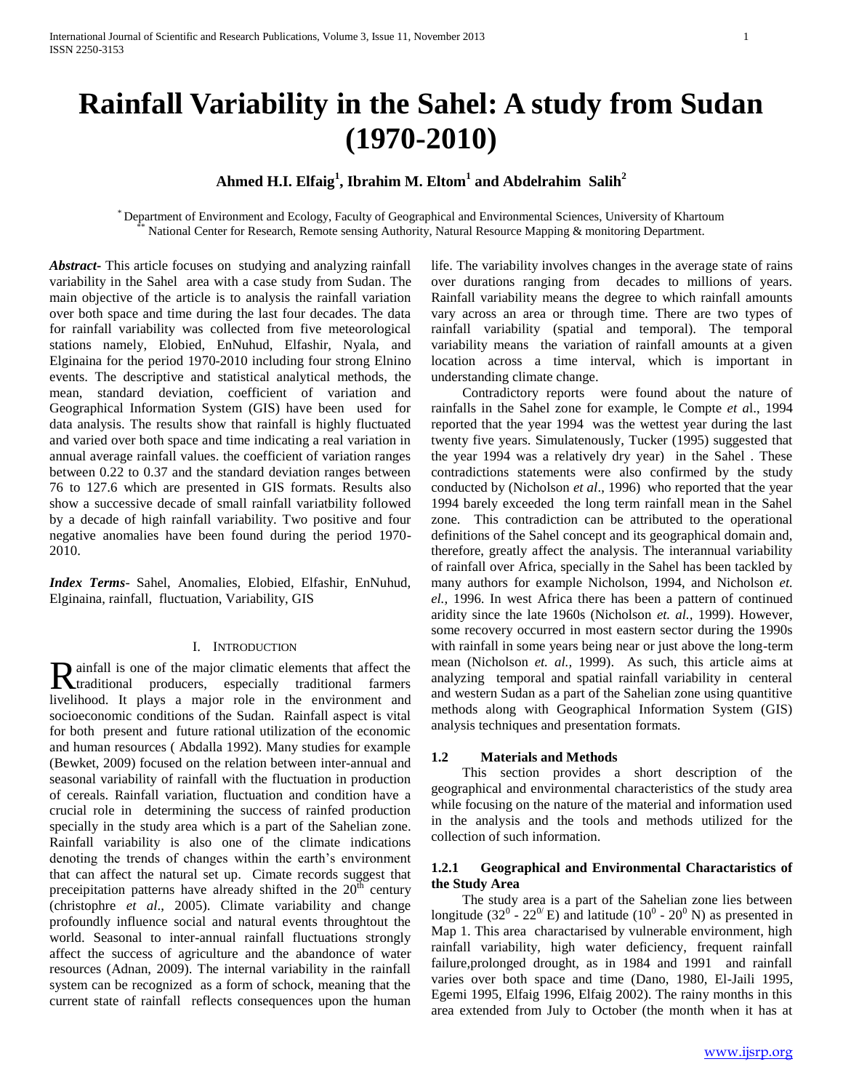# **Rainfall Variability in the Sahel: A study from Sudan (1970-2010)**

## **Ahmed H.I. Elfaig<sup>1</sup> , Ibrahim M. Eltom<sup>1</sup> and Abdelrahim Salih<sup>2</sup>**

\* Department of Environment and Ecology, Faculty of Geographical and Environmental Sciences, University of Khartoum National Center for Research, Remote sensing Authority, Natural Resource Mapping & monitoring Department.

*Abstract***-** This article focuses on studying and analyzing rainfall variability in the Sahel area with a case study from Sudan. The main objective of the article is to analysis the rainfall variation over both space and time during the last four decades. The data for rainfall variability was collected from five meteorological stations namely, Elobied, EnNuhud, Elfashir, Nyala, and Elginaina for the period 1970-2010 including four strong Elnino events. The descriptive and statistical analytical methods, the mean, standard deviation, coefficient of variation and Geographical Information System (GIS) have been used for data analysis. The results show that rainfall is highly fluctuated and varied over both space and time indicating a real variation in annual average rainfall values. the coefficient of variation ranges between 0.22 to 0.37 and the standard deviation ranges between 76 to 127.6 which are presented in GIS formats. Results also show a successive decade of small rainfall variatbility followed by a decade of high rainfall variability. Two positive and four negative anomalies have been found during the period 1970- 2010.

*Index Terms*- Sahel, Anomalies, Elobied, Elfashir, EnNuhud, Elginaina, rainfall, fluctuation, Variability, GIS

#### I. INTRODUCTION

ainfall is one of the major climatic elements that affect the Rainfall is one of the major climatic elements that affect the traditional producers, especially traditional farmers livelihood. It plays a major role in the environment and socioeconomic conditions of the Sudan. Rainfall aspect is vital for both present and future rational utilization of the economic and human resources ( Abdalla 1992). Many studies for example (Bewket, 2009) focused on the relation between inter-annual and seasonal variability of rainfall with the fluctuation in production of cereals. Rainfall variation, fluctuation and condition have a crucial role in determining the success of rainfed production specially in the study area which is a part of the Sahelian zone. Rainfall variability is also one of the climate indications denoting the trends of changes within the earth's environment that can affect the natural set up. Cimate records suggest that preceipitation patterns have already shifted in the  $20<sup>th</sup>$  century (christophre *et al*., 2005). Climate variability and change profoundly influence social and natural events throughtout the world. Seasonal to inter-annual rainfall fluctuations strongly affect the success of agriculture and the abandonce of water resources (Adnan, 2009). The internal variability in the rainfall system can be recognized as a form of schock, meaning that the current state of rainfall reflects consequences upon the human

life. The variability involves changes in the average state of rains over durations ranging from decades to millions of years. Rainfall variability means the degree to which rainfall amounts vary across an area or through time. There are two types of rainfall variability (spatial and temporal). The temporal variability means the variation of rainfall amounts at a given location across a time interval, which is important in understanding climate change.

 Contradictory reports were found about the nature of rainfalls in the Sahel zone for example, le Compte *et a*l., 1994 reported that the year 1994 was the wettest year during the last twenty five years. Simulatenously, Tucker (1995) suggested that the year 1994 was a relatively dry year) in the Sahel . These contradictions statements were also confirmed by the study conducted by (Nicholson *et al*., 1996) who reported that the year 1994 barely exceeded the long term rainfall mean in the Sahel zone. This contradiction can be attributed to the operational definitions of the Sahel concept and its geographical domain and, therefore, greatly affect the analysis. The interannual variability of rainfall over Africa, specially in the Sahel has been tackled by many authors for example Nicholson, 1994, and Nicholson *et. el.,* 1996. In west Africa there has been a pattern of continued aridity since the late 1960s (Nicholson *et. al.,* 1999). However, some recovery occurred in most eastern sector during the 1990s with rainfall in some years being near or just above the long-term mean (Nicholson *et. al.,* 1999). As such, this article aims at analyzing temporal and spatial rainfall variability in centeral and western Sudan as a part of the Sahelian zone using quantitive methods along with Geographical Information System (GIS) analysis techniques and presentation formats.

## **1.2 Materials and Methods**

 This section provides a short description of the geographical and environmental characteristics of the study area while focusing on the nature of the material and information used in the analysis and the tools and methods utilized for the collection of such information.

#### **1.2.1 Geographical and Environmental Charactaristics of the Study Area**

 The study area is a part of the Sahelian zone lies between longitude (32<sup>0</sup> - 22<sup>0</sup>/E) and latitude (10<sup>0</sup> - 20<sup>0</sup> N) as presented in Map 1. This area charactarised by vulnerable environment, high rainfall variability, high water deficiency, frequent rainfall failure,prolonged drought, as in 1984 and 1991 and rainfall varies over both space and time (Dano, 1980, El-Jaili 1995, Egemi 1995, Elfaig 1996, Elfaig 2002). The rainy months in this area extended from July to October (the month when it has at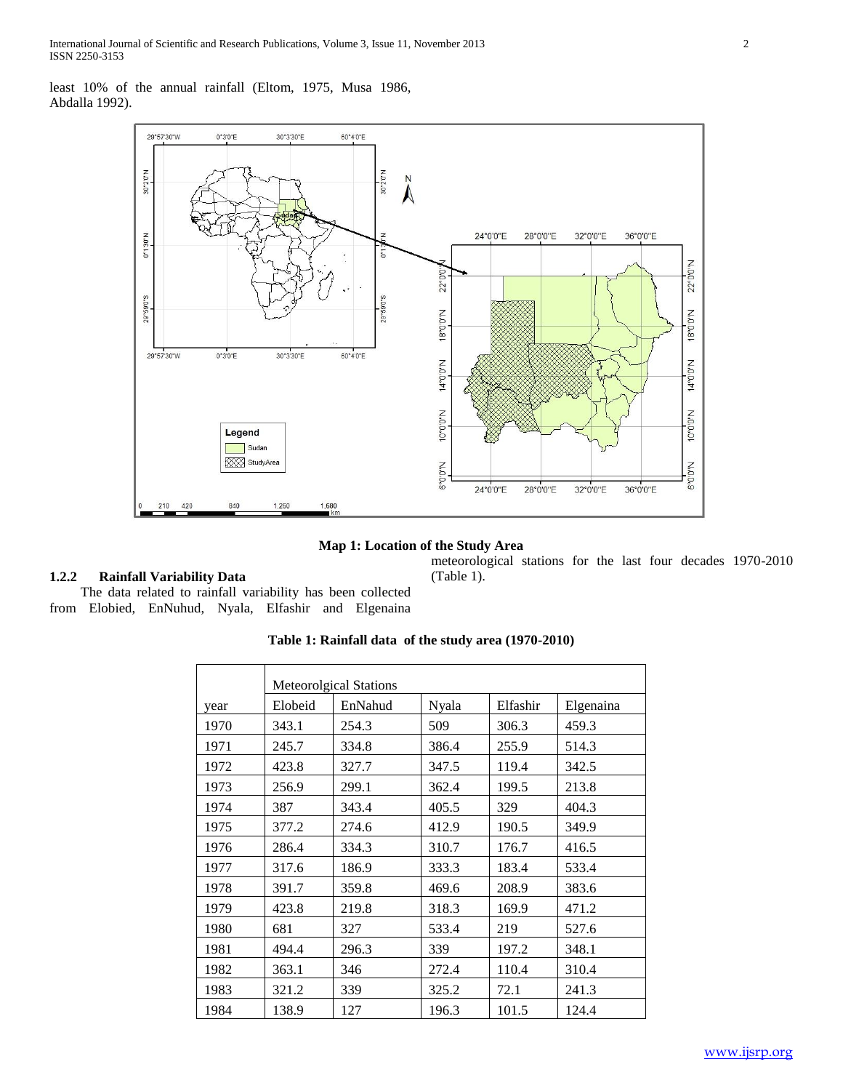least 10% of the annual rainfall (Eltom, 1975, Musa 1986, Abdalla 1992).



## **Map 1: Location of the Study Area**

(Table 1).

meteorological stations for the last four decades 1970-2010

## **1.2.2 Rainfall Variability Data**

 The data related to rainfall variability has been collected from Elobied, EnNuhud, Nyala, Elfashir and Elgenaina

## **Table 1: Rainfall data of the study area (1970-2010)**

|      |         | <b>Meteorolgical Stations</b> |       |          |           |  |
|------|---------|-------------------------------|-------|----------|-----------|--|
| year | Elobeid | EnNahud                       | Nyala | Elfashir | Elgenaina |  |
| 1970 | 343.1   | 254.3                         | 509   | 306.3    | 459.3     |  |
| 1971 | 245.7   | 334.8                         | 386.4 | 255.9    | 514.3     |  |
| 1972 | 423.8   | 327.7                         | 347.5 | 119.4    | 342.5     |  |
| 1973 | 256.9   | 299.1                         | 362.4 | 199.5    | 213.8     |  |
| 1974 | 387     | 343.4                         | 405.5 | 329      | 404.3     |  |
| 1975 | 377.2   | 274.6                         | 412.9 | 190.5    | 349.9     |  |
| 1976 | 286.4   | 334.3                         | 310.7 | 176.7    | 416.5     |  |
| 1977 | 317.6   | 186.9                         | 333.3 | 183.4    | 533.4     |  |
| 1978 | 391.7   | 359.8                         | 469.6 | 208.9    | 383.6     |  |
| 1979 | 423.8   | 219.8                         | 318.3 | 169.9    | 471.2     |  |
| 1980 | 681     | 327                           | 533.4 | 219      | 527.6     |  |
| 1981 | 494.4   | 296.3                         | 339   | 197.2    | 348.1     |  |
| 1982 | 363.1   | 346                           | 272.4 | 110.4    | 310.4     |  |
| 1983 | 321.2   | 339                           | 325.2 | 72.1     | 241.3     |  |
| 1984 | 138.9   | 127                           | 196.3 | 101.5    | 124.4     |  |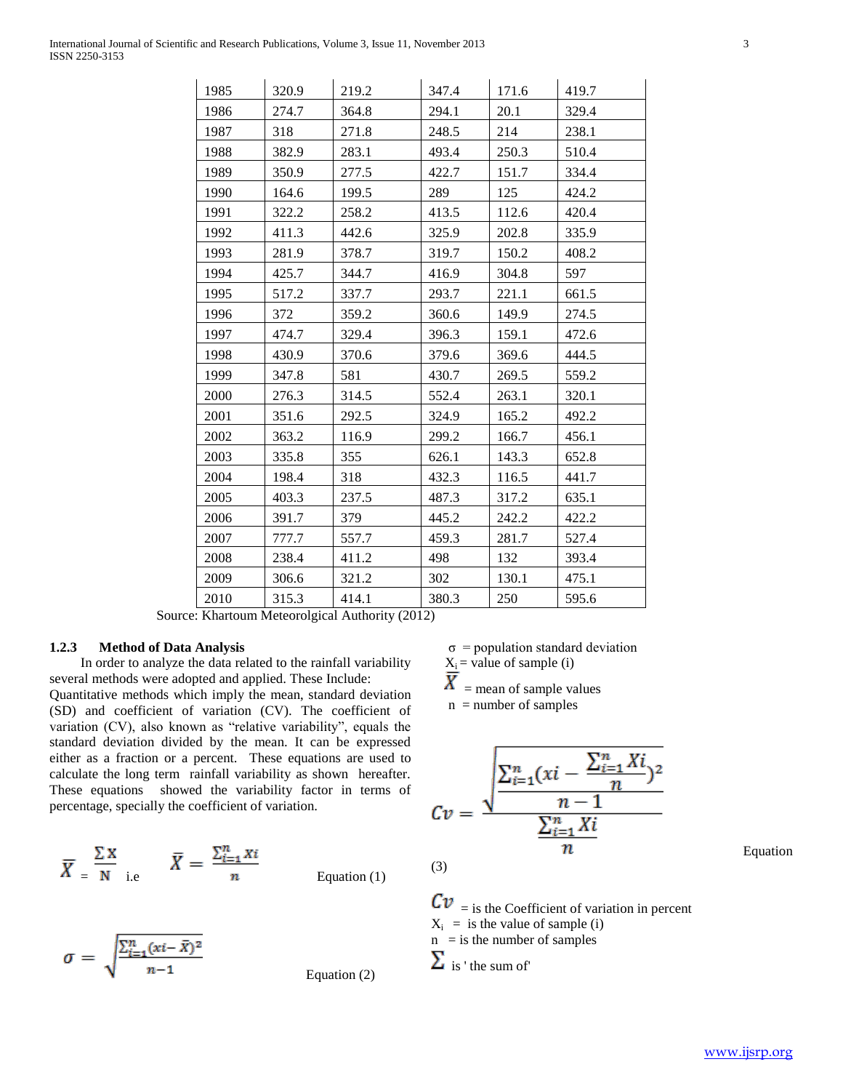| 1985 | 320.9 | 219.2 | 347.4 | 171.6 | 419.7 |
|------|-------|-------|-------|-------|-------|
| 1986 | 274.7 | 364.8 | 294.1 | 20.1  | 329.4 |
| 1987 | 318   | 271.8 | 248.5 | 214   | 238.1 |
| 1988 | 382.9 | 283.1 | 493.4 | 250.3 | 510.4 |
| 1989 | 350.9 | 277.5 | 422.7 | 151.7 | 334.4 |
| 1990 | 164.6 | 199.5 | 289   | 125   | 424.2 |
| 1991 | 322.2 | 258.2 | 413.5 | 112.6 | 420.4 |
| 1992 | 411.3 | 442.6 | 325.9 | 202.8 | 335.9 |
| 1993 | 281.9 | 378.7 | 319.7 | 150.2 | 408.2 |
| 1994 | 425.7 | 344.7 | 416.9 | 304.8 | 597   |
| 1995 | 517.2 | 337.7 | 293.7 | 221.1 | 661.5 |
| 1996 | 372   | 359.2 | 360.6 | 149.9 | 274.5 |
| 1997 | 474.7 | 329.4 | 396.3 | 159.1 | 472.6 |
| 1998 | 430.9 | 370.6 | 379.6 | 369.6 | 444.5 |
| 1999 | 347.8 | 581   | 430.7 | 269.5 | 559.2 |
| 2000 | 276.3 | 314.5 | 552.4 | 263.1 | 320.1 |
| 2001 | 351.6 | 292.5 | 324.9 | 165.2 | 492.2 |
| 2002 | 363.2 | 116.9 | 299.2 | 166.7 | 456.1 |
| 2003 | 335.8 | 355   | 626.1 | 143.3 | 652.8 |
| 2004 | 198.4 | 318   | 432.3 | 116.5 | 441.7 |
| 2005 | 403.3 | 237.5 | 487.3 | 317.2 | 635.1 |
| 2006 | 391.7 | 379   | 445.2 | 242.2 | 422.2 |
| 2007 | 777.7 | 557.7 | 459.3 | 281.7 | 527.4 |
| 2008 | 238.4 | 411.2 | 498   | 132   | 393.4 |
| 2009 | 306.6 | 321.2 | 302   | 130.1 | 475.1 |
| 2010 | 315.3 | 414.1 | 380.3 | 250   | 595.6 |

Source: Khartoum Meteorolgical Authority (2012)

#### **1.2.3 Method of Data Analysis**

 In order to analyze the data related to the rainfall variability several methods were adopted and applied. These Include:

Quantitative methods which imply the mean, standard deviation (SD) and coefficient of variation (CV). The coefficient of variation (CV), also known as "relative variability", equals the standard deviation divided by the mean. It can be expressed either as a fraction or a percent. These equations are used to calculate the long term rainfall variability as shown hereafter. These equations showed the variability factor in terms of percentage, specially the coefficient of variation.

$$
\overline{X} = \frac{\Sigma X}{N} \quad \text{i.e} \quad \overline{X} = \frac{\sum_{i=1}^{n} X_i}{n} \quad \text{Equation (1)}
$$

$$
\sigma = \sqrt{\frac{\sum_{i=1}^{n} (xi - \bar{X})^2}{n-1}}
$$
 Equation (2)

$$
\sigma = \text{population standard deviation}
$$

$$
X_i
$$
 = value of sample (i)

 $\Lambda$  = mean of sample values

 $n =$  number of samples

$$
Cv = \frac{\sqrt{\frac{\sum_{i=1}^{n} (xi - \frac{\sum_{i=1}^{n} X_i}{n})^2}{n-1}}}{\frac{\sum_{i=1}^{n} X_i}{n}}
$$

(3)

 $\mathbf{C}\mathbf{v}$  = is the Coefficient of variation in percent  $X_i$  = is the value of sample (i)  $n =$  is the number of samples  $\sum$  is ' the sum of'

Equation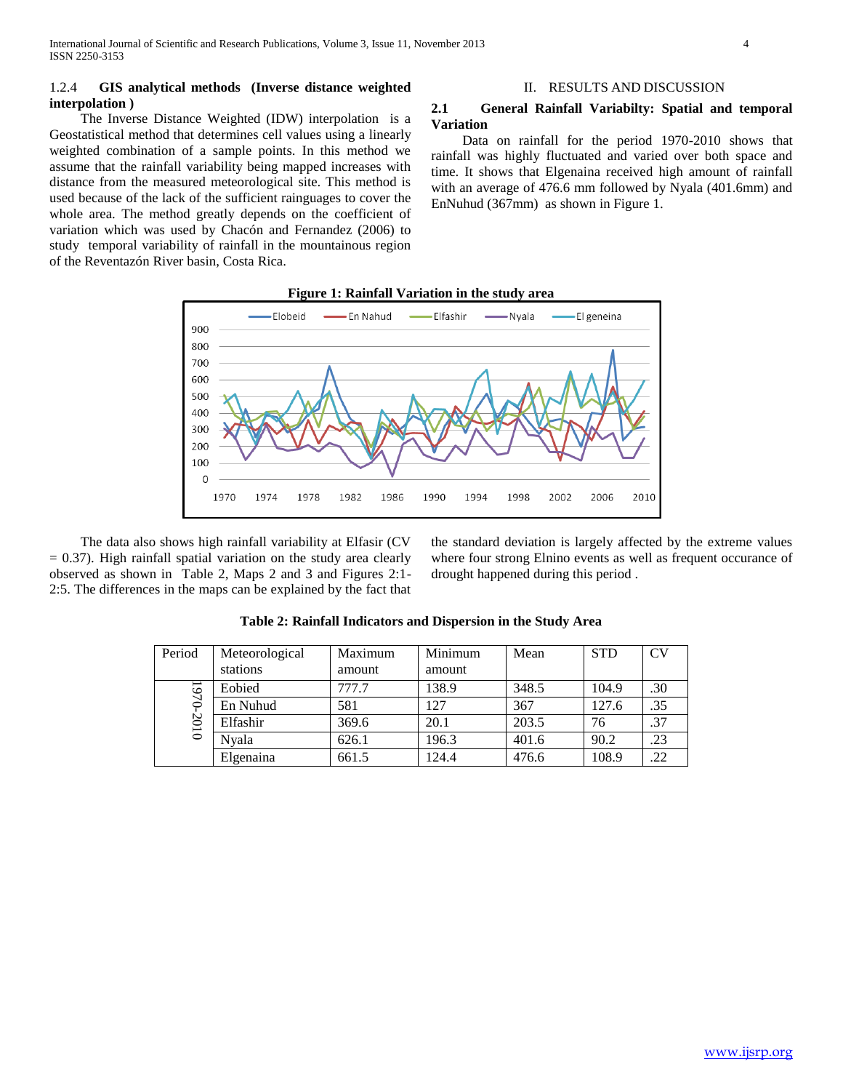## 1.2.4 **GIS analytical methods (Inverse distance weighted interpolation )**

 The Inverse Distance Weighted (IDW) interpolation is a Geostatistical method that determines cell values using a linearly weighted combination of a sample points. In this method we assume that the rainfall variability being mapped increases with distance from the measured meteorological site. This method is used because of the lack of the sufficient rainguages to cover the whole area. The method greatly depends on the coefficient of variation which was used by Chacón and Fernandez (2006) to study temporal variability of rainfall in the mountainous region of the Reventazón River basin, Costa Rica.

### II. RESULTS AND DISCUSSION

## **2.1 General Rainfall Variabilty: Spatial and temporal Variation**

 Data on rainfall for the period 1970-2010 shows that rainfall was highly fluctuated and varied over both space and time. It shows that Elgenaina received high amount of rainfall with an average of 476.6 mm followed by Nyala (401.6mm) and EnNuhud (367mm) as shown in Figure 1.



 The data also shows high rainfall variability at Elfasir (CV  $= 0.37$ ). High rainfall spatial variation on the study area clearly observed as shown in Table 2, Maps 2 and 3 and Figures 2:1- 2:5. The differences in the maps can be explained by the fact that the standard deviation is largely affected by the extreme values where four strong Elnino events as well as frequent occurance of drought happened during this period .

| Period  | Meteorological | Maximum | Minimum | Mean  | <b>STD</b> | CV  |
|---------|----------------|---------|---------|-------|------------|-----|
|         | stations       | amount  | amount  |       |            |     |
| $-0.61$ | Eobied         | 777.7   | 138.9   | 348.5 | 104.9      | .30 |
|         | En Nuhud       | 581     | 127     | 367   | 127.6      | .35 |
| $-2010$ | Elfashir       | 369.6   | 20.1    | 203.5 | 76         | .37 |
|         | Nvala          | 626.1   | 196.3   | 401.6 | 90.2       | .23 |
|         | Elgenaina      | 661.5   | 124.4   | 476.6 | 108.9      | .22 |

**Table 2: Rainfall Indicators and Dispersion in the Study Area**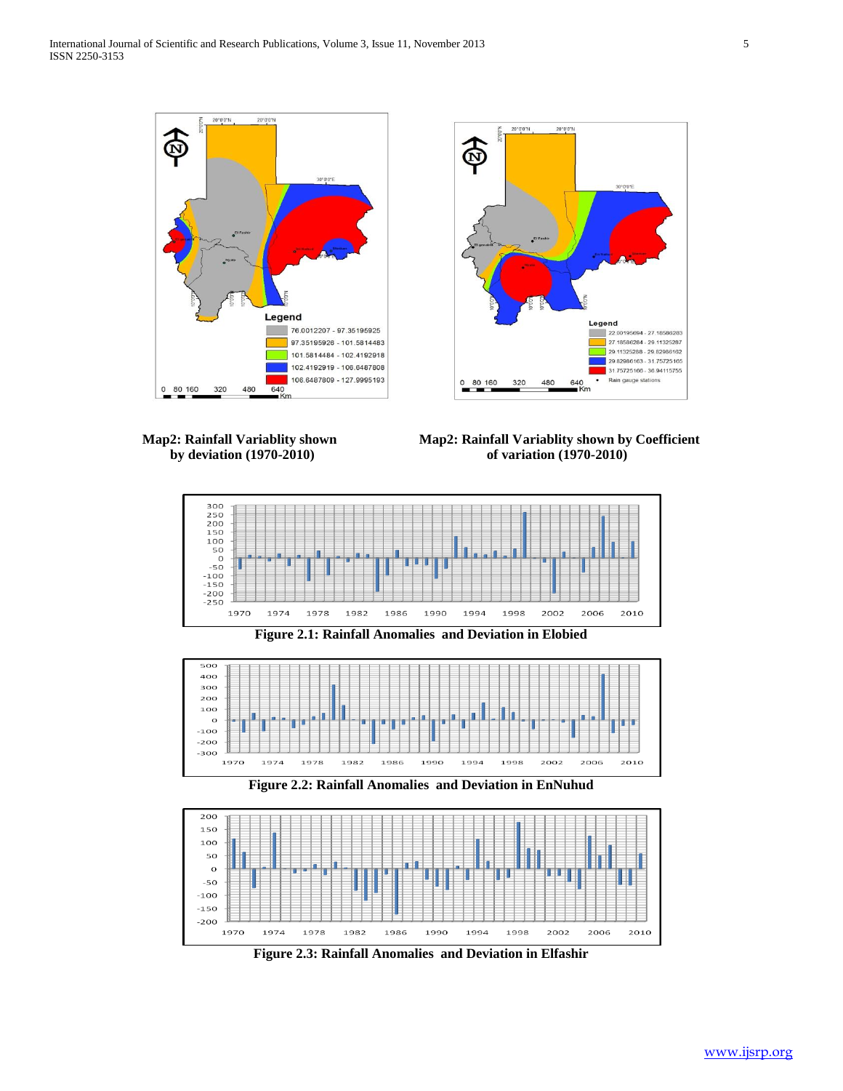





**Map2: Rainfall Variablity shown Map2: Rainfall Variablity shown by Coefficient by deviation (1970-2010) of variation (1970-2010)**





**Figure 2.2: Rainfall Anomalies and Deviation in EnNuhud**



**Figure 2.3: Rainfall Anomalies and Deviation in Elfashir**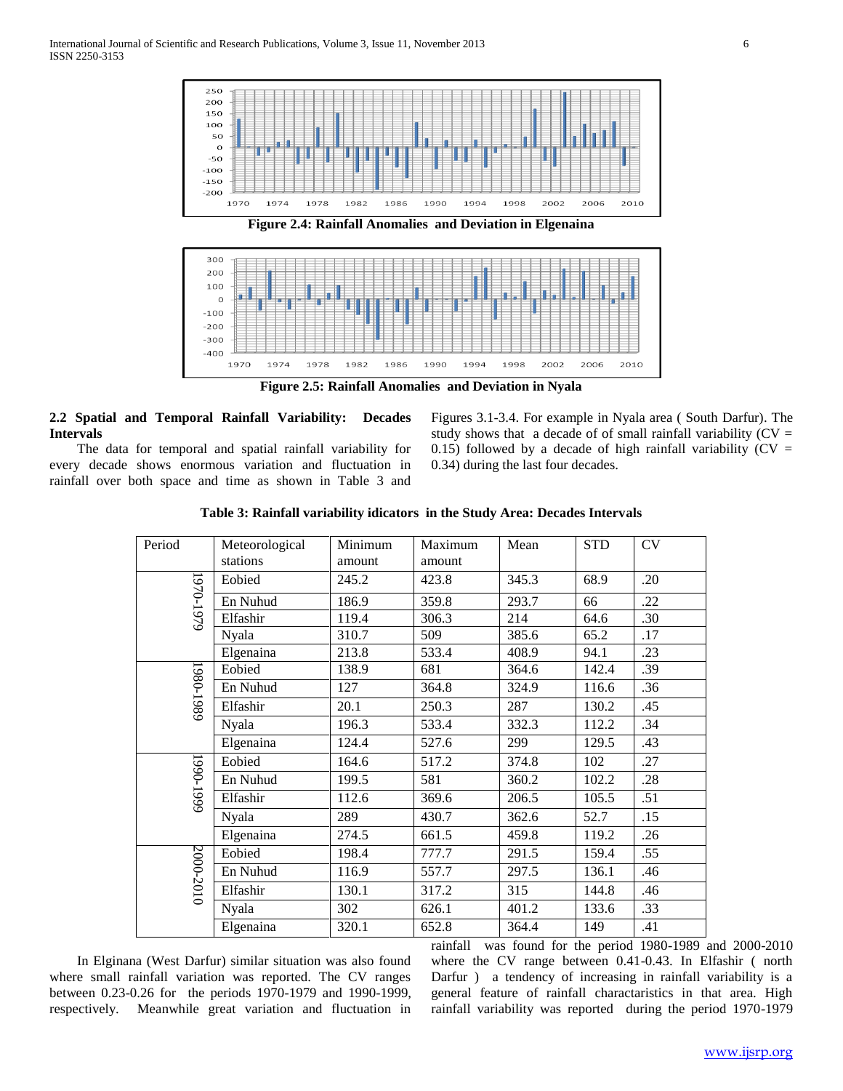

**Figure 2.5: Rainfall Anomalies and Deviation in Nyala**

## **2.2 Spatial and Temporal Rainfall Variability: Decades Intervals**

 The data for temporal and spatial rainfall variability for every decade shows enormous variation and fluctuation in rainfall over both space and time as shown in Table 3 and

Figures 3.1-3.4. For example in Nyala area ( South Darfur). The study shows that a decade of of small rainfall variability  $(CV =$ 0.15) followed by a decade of high rainfall variability ( $CV =$ 0.34) during the last four decades.

| Period    | Meteorological<br>stations | Minimum<br>amount | Maximum<br>amount | Mean  | <b>STD</b> | <b>CV</b> |
|-----------|----------------------------|-------------------|-------------------|-------|------------|-----------|
| 1970-1979 | Eobied                     | 245.2             | 423.8             | 345.3 | 68.9       | .20       |
|           | En Nuhud                   | 186.9             | 359.8             | 293.7 | 66         | .22       |
|           | Elfashir                   | 119.4             | 306.3             | 214   | 64.6       | .30       |
|           | <b>Nyala</b>               | 310.7             | 509               | 385.6 | 65.2       | .17       |
|           | Elgenaina                  | 213.8             | 533.4             | 408.9 | 94.1       | .23       |
|           | Eobied                     | 138.9             | 681               | 364.6 | 142.4      | .39       |
|           | En Nuhud                   | 127               | 364.8             | 324.9 | 116.6      | .36       |
| 1980-1989 | Elfashir                   | 20.1              | 250.3             | 287   | 130.2      | .45       |
|           | Nyala                      | 196.3             | 533.4             | 332.3 | 112.2      | .34       |
|           | Elgenaina                  | 124.4             | 527.6             | 299   | 129.5      | .43       |
|           | Eobied                     | 164.6             | 517.2             | 374.8 | 102        | .27       |
|           | En Nuhud                   | 199.5             | 581               | 360.2 | 102.2      | .28       |
| 5661-0661 | Elfashir                   | 112.6             | 369.6             | 206.5 | 105.5      | .51       |
|           | <b>Nyala</b>               | 289               | 430.7             | 362.6 | 52.7       | .15       |
|           | Elgenaina                  | 274.5             | 661.5             | 459.8 | 119.2      | .26       |
| 2000-2010 | Eobied                     | 198.4             | 777.7             | 291.5 | 159.4      | .55       |
|           | En Nuhud                   | 116.9             | 557.7             | 297.5 | 136.1      | .46       |
|           | Elfashir                   | 130.1             | 317.2             | 315   | 144.8      | .46       |
|           | Nyala                      | 302               | 626.1             | 401.2 | 133.6      | .33       |
|           | Elgenaina                  | 320.1             | 652.8             | 364.4 | 149        | .41       |

|  | Table 3: Rainfall variability idicators in the Study Area: Decades Intervals |
|--|------------------------------------------------------------------------------|
|--|------------------------------------------------------------------------------|

 In Elginana (West Darfur) similar situation was also found where small rainfall variation was reported. The CV ranges between 0.23-0.26 for the periods 1970-1979 and 1990-1999, respectively. Meanwhile great variation and fluctuation in

rainfall was found for the period 1980-1989 and 2000-2010 where the CV range between 0.41-0.43. In Elfashir ( north Darfur ) a tendency of increasing in rainfall variability is a general feature of rainfall charactaristics in that area. High rainfall variability was reported during the period 1970-1979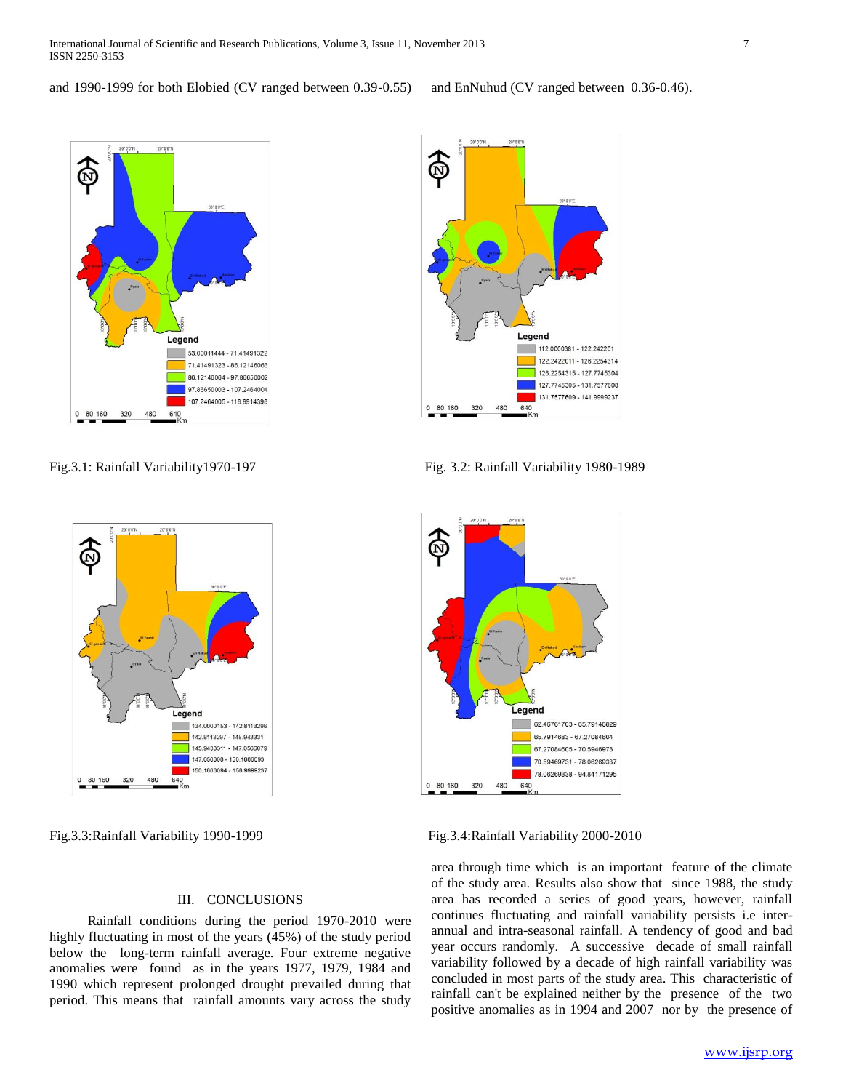and 1990-1999 for both Elobied (CV ranged between 0.39-0.55) and EnNuhud (CV ranged between 0.36-0.46).



Fig. 3.1: Rainfall Variability1970-197 Fig. 3.2: Rainfall Variability 1980-1989



#### III. CONCLUSIONS

 Rainfall conditions during the period 1970-2010 were highly fluctuating in most of the years (45%) of the study period below the long-term rainfall average. Four extreme negative anomalies were found as in the years 1977, 1979, 1984 and 1990 which represent prolonged drought prevailed during that period. This means that rainfall amounts vary across the study





Fig.3.3:Rainfall Variability 1990-1999 Fig.3.4:Rainfall Variability 2000-2010

area through time which is an important feature of the climate of the study area. Results also show that since 1988, the study area has recorded a series of good years, however, rainfall continues fluctuating and rainfall variability persists i.e interannual and intra-seasonal rainfall. A tendency of good and bad year occurs randomly. A successive decade of small rainfall variability followed by a decade of high rainfall variability was concluded in most parts of the study area. This characteristic of rainfall can't be explained neither by the presence of the two positive anomalies as in 1994 and 2007 nor by the presence of